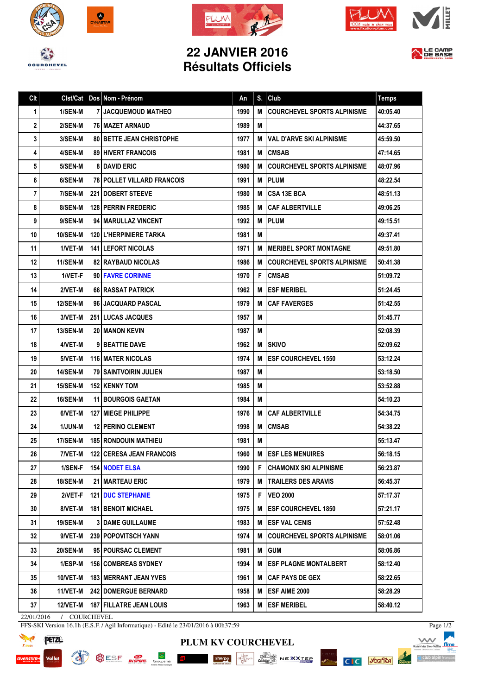







## **22 JANVIER 2016 Résultats Officiels**



| Clt | Clst/Cat        | Dos Nom - Prénom                  | An   | S. | Club                               | <b>Temps</b> |
|-----|-----------------|-----------------------------------|------|----|------------------------------------|--------------|
| 1   | 1/SEN-M         | <b>7 JACQUEMOUD MATHEO</b>        | 1990 | М  | <b>COURCHEVEL SPORTS ALPINISME</b> | 40:05.40     |
| 2   | 2/SEN-M         | <b>76   MAZET ARNAUD</b>          | 1989 | M  |                                    | 44:37.65     |
| 3   | 3/SEN-M         | <b>80 BETTE JEAN CHRISTOPHE</b>   | 1977 | м  | <b>VAL D'ARVE SKI ALPINISME</b>    | 45:59.50     |
| 4   | 4/SEN-M         | <b>89 HIVERT FRANCOIS</b>         | 1981 | М  | <b>CMSAB</b>                       | 47:14.65     |
| 5   | 5/SEN-M         | <b>8 DAVID ERIC</b>               | 1980 | М  | <b>COURCHEVEL SPORTS ALPINISME</b> | 48:07.96     |
| 6   | 6/SEN-M         | <b>78 POLLET VILLARD FRANCOIS</b> | 1991 | M  | <b>IPLUM</b>                       | 48:22.54     |
| 7   | 7/SEN-M         | <b>221 DOBERT STEEVE</b>          | 1980 | М  | l CSA 13E BCA                      | 48:51.13     |
| 8   | 8/SEN-M         | <b>128 PERRIN FREDERIC</b>        | 1985 | М  | <b>CAF ALBERTVILLE</b>             | 49:06.25     |
| 9   | 9/SEN-M         | 94   MARULLAZ VINCENT             | 1992 | М  | <b>IPLUM</b>                       | 49:15.51     |
| 10  | <b>10/SEN-M</b> | <b>120 L'HERPINIERE TARKA</b>     | 1981 | M  |                                    | 49:37.41     |
| 11  | 1/VET-M         | <b>141 LEFORT NICOLAS</b>         | 1971 | М  | <b>IMERIBEL SPORT MONTAGNE</b>     | 49:51.80     |
| 12  | <b>11/SEN-M</b> | <b>82 RAYBAUD NICOLAS</b>         | 1986 | М  | <b>COURCHEVEL SPORTS ALPINISME</b> | 50:41.38     |
| 13  | 1/VET-F         | 90 FAVRE CORINNE                  | 1970 | F. | <b>ICMSAB</b>                      | 51:09.72     |
| 14  | 2/VET-M         | <b>66 RASSAT PATRICK</b>          | 1962 | M  | <b>LESF MERIBEL</b>                | 51:24.45     |
| 15  | <b>12/SEN-M</b> | <b>96 JACQUARD PASCAL</b>         | 1979 | М  | <b>CAF FAVERGES</b>                | 51:42.55     |
| 16  | 3/VET-M         | <b>251 LUCAS JACQUES</b>          | 1957 | M  |                                    | 51:45.77     |
| 17  | <b>13/SEN-M</b> | <b>20 MANON KEVIN</b>             | 1987 | M  |                                    | 52:08.39     |
| 18  | 4/VET-M         | 9 BEATTIE DAVE                    | 1962 | М  | <b>SKIVO</b>                       | 52:09.62     |
| 19  | 5/VET-M         | <b>116 MATER NICOLAS</b>          | 1974 | М  | <b>ESF COURCHEVEL 1550</b>         | 53:12.24     |
| 20  | <b>14/SEN-M</b> | 79   SAINTVOIRIN JULIEN           | 1987 | M  |                                    | 53:18.50     |
| 21  | 15/SEN-M        | <b>152 KENNY TOM</b>              | 1985 | M  |                                    | 53:52.88     |
| 22  | <b>16/SEN-M</b> | <b>11 BOURGOIS GAETAN</b>         | 1984 | M  |                                    | 54:10.23     |
| 23  | 6/VET-M         | <b>127   MIEGE PHILIPPE</b>       | 1976 | М  | <b>CAF ALBERTVILLE</b>             | 54:34.75     |
| 24  | <b>1/JUN-M</b>  | <b>12 PERINO CLEMENT</b>          | 1998 | M  | <b>CMSAB</b>                       | 54:38.22     |
| 25  | 17/SEN-M        | <b>185 RONDOUIN MATHIEU</b>       | 1981 | M  |                                    | 55:13.47     |
| 26  | 7/VET-M         | <b>122 CERESA JEAN FRANCOIS</b>   | 1960 | М  | <b>ESF LES MENUIRES</b>            | 56:18.15     |
| 27  | 1/SEN-F         | 154 NODET ELSA                    | 1990 | F. | CHAMONIX SKI ALPINISME             | 56:23.87     |
| 28  | <b>18/SEN-M</b> | 21   MARTEAU ERIC                 | 1979 | M  | <b>TRAILERS DES ARAVIS</b>         | 56:45.37     |
| 29  | 2/VET-F         | <b>121   DUC STEPHANIE</b>        | 1975 | F. | <b>VEO 2000</b>                    | 57:17.37     |
| 30  | 8/VET-M         | <b>181   BENOIT MICHAEL</b>       | 1975 | M  | <b>IESF COURCHEVEL 1850</b>        | 57:21.17     |
| 31  | <b>19/SEN-M</b> | <b>3 DAME GUILLAUME</b>           | 1983 | М  | <b>ESF VAL CENIS</b>               | 57:52.48     |
| 32  | 9/VET-M         | <b>239   POPOVITSCH YANN</b>      | 1974 | M  | COURCHEVEL SPORTS ALPINISME        | 58:01.06     |
| 33  | 20/SEN-M        | 95 POURSAC CLEMENT                | 1981 | М  | <b>GUM</b>                         | 58:06.86     |
| 34  | 1/ESP-M         | <b>156 COMBREAS SYDNEY</b>        | 1994 | M  | <b>ESF PLAGNE MONTALBERT</b>       | 58:12.40     |
| 35  | 10/VET-M        | <b>183 MERRANT JEAN YVES</b>      | 1961 | м  | CAF PAYS DE GEX                    | 58:22.65     |
| 36  | 11/VET-M        | <b>242 DOMERGUE BERNARD</b>       | 1958 | M  | <b>ESF AIME 2000</b>               | 58:28.29     |
| 37  | 12/VET-M        | <b>187   FILLATRE JEAN LOUIS</b>  | 1963 |    | M ESF MERIBEL                      | 58:40.12     |

22/01/2016 / COURCHEVEL

FFS-SKI Version 16.1h (E.S.F. / Agil Informatique) - Edité le 23/01/2016 à 00h37:59





**PLUM KV COURCHEVEL**